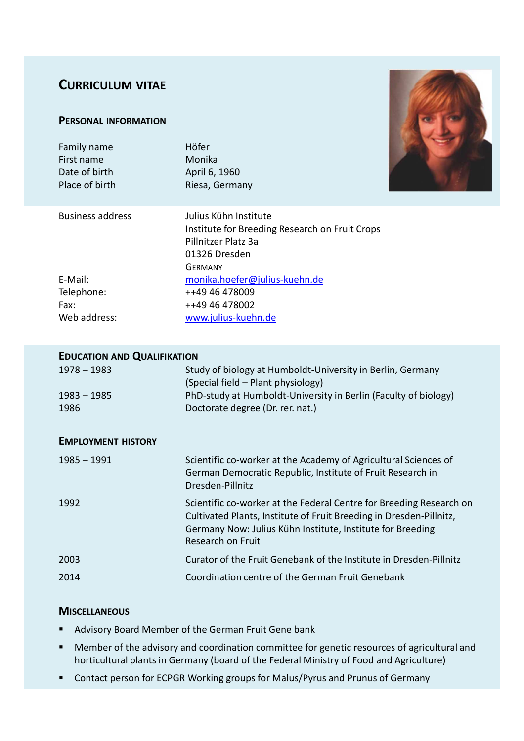# **CURRICULUM VITAE**

### **PERSONAL INFORMATION**

| Family name<br>First name<br>Date of birth<br>Place of birth | Höfer<br>Monika<br>April 6, 1960<br>Riesa, Germany                                                                                |  |
|--------------------------------------------------------------|-----------------------------------------------------------------------------------------------------------------------------------|--|
| <b>Business address</b>                                      | Julius Kühn Institute<br>Institute for Breeding Research on Fruit Crops<br>Pillnitzer Platz 3a<br>01326 Dresden<br><b>GERMANY</b> |  |
| E-Mail:                                                      | monika.hoefer@julius-kuehn.de                                                                                                     |  |
| Telephone:                                                   | ++49 46 478009                                                                                                                    |  |
| Fax:                                                         | ++49 46 478002                                                                                                                    |  |
| Web address:                                                 | www.julius-kuehn.de                                                                                                               |  |
|                                                              |                                                                                                                                   |  |

## **EDUCATION AND QUALIFIKATION**

| $1978 - 1983$             | Study of biology at Humboldt-University in Berlin, Germany<br>(Special field – Plant physiology)                                                                                                                              |  |
|---------------------------|-------------------------------------------------------------------------------------------------------------------------------------------------------------------------------------------------------------------------------|--|
| $1983 - 1985$             | PhD-study at Humboldt-University in Berlin (Faculty of biology)                                                                                                                                                               |  |
| 1986                      | Doctorate degree (Dr. rer. nat.)                                                                                                                                                                                              |  |
| <b>EMPLOYMENT HISTORY</b> |                                                                                                                                                                                                                               |  |
| <u> 1985 – 1991</u>       | Scientific co-worker at the Academy of Agricultural Sciences of<br>German Democratic Republic, Institute of Fruit Research in<br>Dresden-Pillnitz                                                                             |  |
| 1992                      | Scientific co-worker at the Federal Centre for Breeding Research on<br>Cultivated Plants, Institute of Fruit Breeding in Dresden-Pillnitz,<br>Germany Now: Julius Kühn Institute, Institute for Breeding<br>Research on Fruit |  |
| 2003                      | Curator of the Fruit Genebank of the Institute in Dresden-Pillnitz                                                                                                                                                            |  |
| 2014                      | Coordination centre of the German Fruit Genebank                                                                                                                                                                              |  |

## **MISCELLANEOUS**

- **Advisory Board Member of the German Fruit Gene bank**
- Member of the advisory and coordination committee for genetic resources of agricultural and horticultural plants in Germany (board of the Federal Ministry of Food and Agriculture)
- Contact person for ECPGR Working groups for Malus/Pyrus and Prunus of Germany